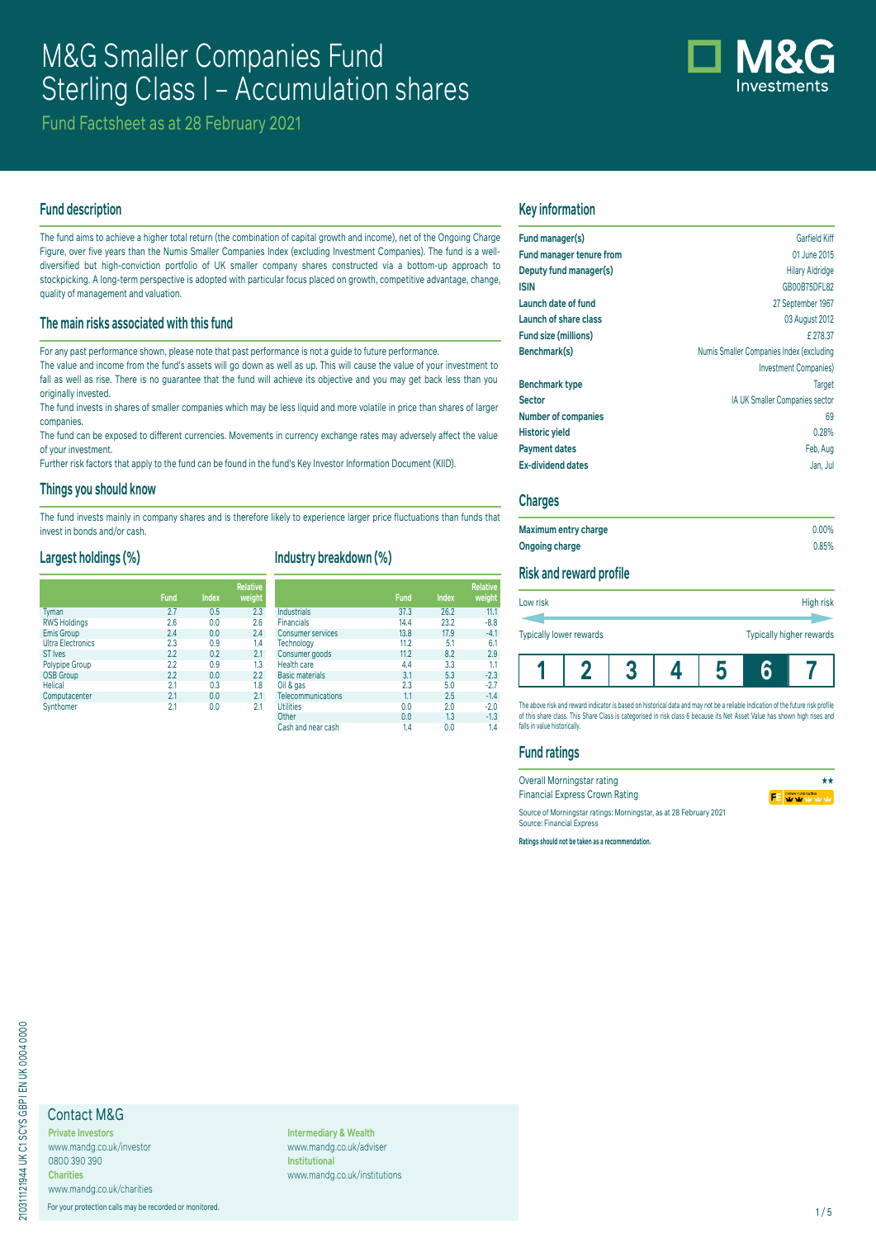# M&G Smaller Companies Fund Sterling Class I – Accumulation shares

Fund Factsheet as at 28 February 2021

# **Fund description**

The fund aims to achieve a higher total return (the combination of capital growth and income), net of the Ongoing Charge Figure, over five years than the Numis Smaller Companies Index (excluding Investment Companies). The fund is a welldiversified but high-conviction portfolio of UK smaller company shares constructed via a bottom-up approach to stockpicking. A long-term perspective is adopted with particular focus placed on growth, competitive advantage, change, quality of management and valuation.

## **The main risks associated with this fund**

For any past performance shown, please note that past performance is not a guide to future performance.

The value and income from the fund's assets will go down as well as up. This will cause the value of your investment to fall as well as rise. There is no guarantee that the fund will achieve its objective and you may get back less than you originally invested.

The fund invests in shares of smaller companies which may be less liquid and more volatile in price than shares of larger companies.

The fund can be exposed to different currencies. Movements in currency exchange rates may adversely affect the value of your investment.

Further risk factors that apply to the fund can be found in the fund's Key Investor Information Document (KIID).

### **Things you should know**

The fund invests mainly in company shares and is therefore likely to experience larger price fluctuations than funds that invest in bonds and/or cash.

# **Largest holdings (%)**

|                          |             |              | <b>Relative</b> |
|--------------------------|-------------|--------------|-----------------|
|                          | <b>Fund</b> | <b>Index</b> | weight          |
| <b>Tyman</b>             | 2.7         | 0.5          | 2.3             |
| <b>RWS Holdings</b>      | 2.6         | 0.0          | 2.6             |
| <b>Emis Group</b>        | 2.4         | 0.0          | 2.4             |
| <b>Ultra Electronics</b> | 2.3         | 0.9          | 1.4             |
| <b>ST</b> Ives           | 2.2         | 0.2          | 2.1             |
| <b>Polypipe Group</b>    | 2.2         | 0.9          | 1.3             |
| <b>OSB Group</b>         | 2.2         | 0.0          | 2.2             |
| <b>Helical</b>           | 2.1         | 0.3          | 1.8             |
| Computacenter            | 2.1         | 0.0          | 2.1             |
| Synthomer                | 2.1         | 00           | 21              |

# **Industry breakdown (%)**

|                          | <b>Fund</b> | <b>Index</b> | <b>Relative</b><br>weight |
|--------------------------|-------------|--------------|---------------------------|
| Industrials              | 37.3        | 26.2         | 11.1                      |
| <b>Financials</b>        | 14.4        | 23.2         | $-8.8$                    |
| <b>Consumer services</b> | 13.8        | 17.9         | $-4.1$                    |
| Technology               | 11.2        | 5.1          | 6.1                       |
| Consumer goods           | 11.2        | 8.2          | 2.9                       |
| Health care              | 4.4         | 3.3          | 1.1                       |
| <b>Basic materials</b>   | 3.1         | 5.3          | $-2.3$                    |
| Oil & gas                | 2.3         | 5.0          | $-2.7$                    |
| Telecommunications       | 1.1         | 2.5          | $-1.4$                    |
| <b>Utilities</b>         | 0.0         | 2.0          | $-2.0$                    |
| Other                    | 0.0         | 1.3          | $-1.3$                    |
| Cash and near cash       | 1.4         | 0.0          | 1.4                       |

# **Key information**

| Fund manager(s)            | Garfield Kiff                            |
|----------------------------|------------------------------------------|
| Fund manager tenure from   | 01 June 2015                             |
| Deputy fund manager(s)     | <b>Hilary Aldridge</b>                   |
| <b>ISIN</b>                | GB00B75DFL82                             |
| Launch date of fund        | 27 September 1967                        |
| Launch of share class      | 03 August 2012                           |
| Fund size (millions)       | £278.37                                  |
| Benchmark(s)               | Numis Smaller Companies Index (excluding |
|                            | <b>Investment Companies</b> )            |
| <b>Benchmark type</b>      | <b>Target</b>                            |
| <b>Sector</b>              | IA UK Smaller Companies sector           |
| <b>Number of companies</b> | 69                                       |
| <b>Historic yield</b>      | 0.28%                                    |
| <b>Payment dates</b>       | Feb, Aug                                 |
| <b>Ex-dividend dates</b>   | Jan, Jul                                 |
|                            |                                          |

## **Charges**

| Maximum entry charge  | $0.00\%$ |
|-----------------------|----------|
| <b>Ongoing charge</b> | 0.85%    |

# **Risk and reward profile**

| Low risk                       |  | High risk |  |  |                          |  |
|--------------------------------|--|-----------|--|--|--------------------------|--|
| <b>Typically lower rewards</b> |  |           |  |  | Typically higher rewards |  |
|                                |  |           |  |  |                          |  |

The above risk and reward indicator is based on historical data and may not be a reliable indication of the future risk profile of this share class. This Share Class is categorised in risk class 6 because its Net Asset Value has shown high rises and falls in value historically.

## **Fund ratings**

| Overall Morningstar rating                                                                      | **      |
|-------------------------------------------------------------------------------------------------|---------|
| <b>Financial Express Crown Rating</b>                                                           | FE WWW. |
| Source of Morningstar ratings: Morningstar, as at 28 February 2021<br>Source: Financial Express |         |

**Ratings should not be taken as a recommendation.**

# Contact M&G

**Private Investors** www.mandg.co.uk/investor 0800 390 390 **Charities**

www.mandg.co.uk/charities

For your protection calls may be recorded or monitored. 1/5

**Intermediary & Wealth** www.mandg.co.uk/adviser **Institutional** www.mandg.co.uk/institutions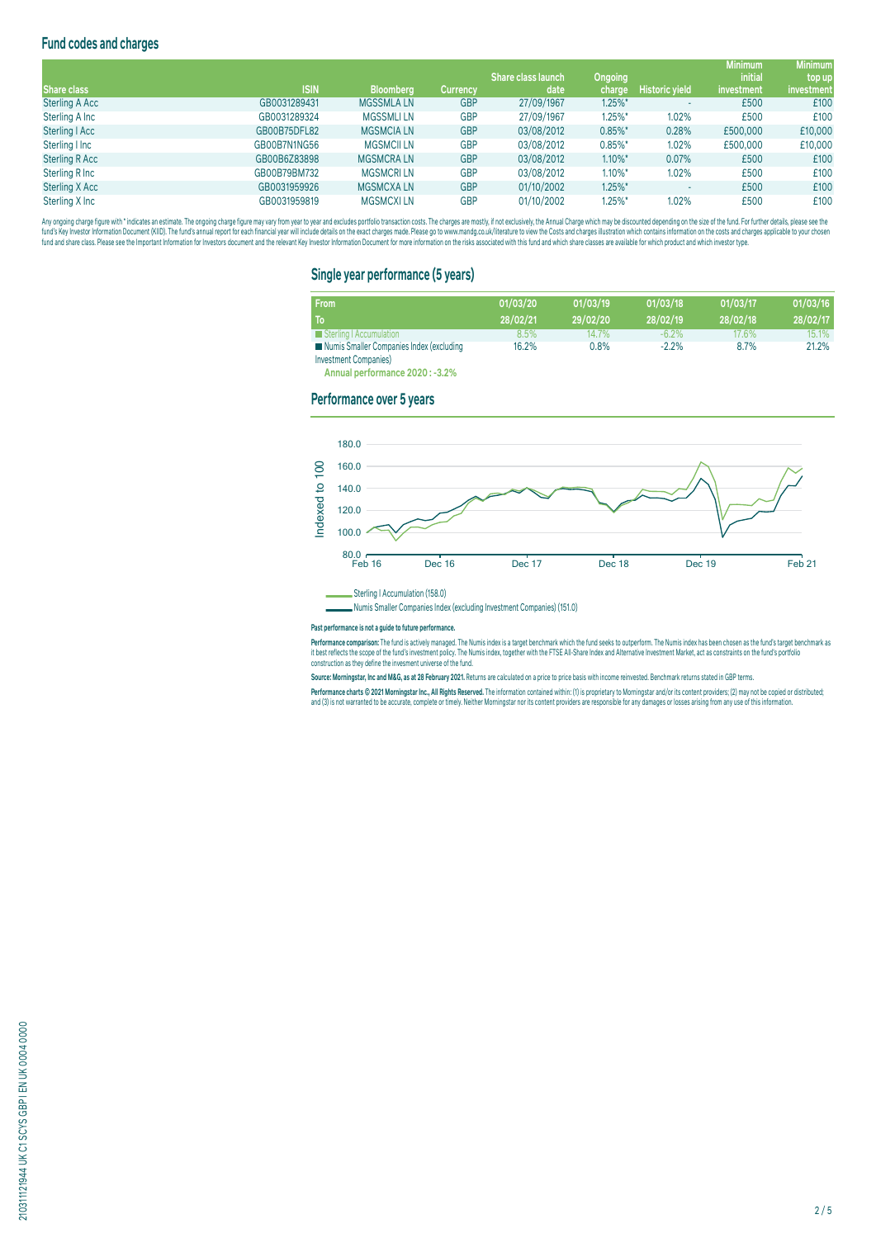# **Fund codes and charges**

|                       |              |                   |                 |                           |                |                       | <b>Minimum</b> | <b>Minimum</b> |
|-----------------------|--------------|-------------------|-----------------|---------------------------|----------------|-----------------------|----------------|----------------|
|                       |              |                   |                 | <b>Share class launch</b> | <b>Ongoing</b> |                       | <i>initial</i> | top up         |
| <b>Share class</b>    | <b>ISIN</b>  | <b>Bloomberg</b>  | <b>Currency</b> | date                      | charge         | <b>Historic yield</b> | investment     | investment     |
| <b>Sterling A Acc</b> | GB0031289431 | <b>MGSSMLALN</b>  | <b>GBP</b>      | 27/09/1967                | $1.25\%$ *     |                       | £500           | £100           |
| Sterling A Inc        | GB0031289324 | <b>MGSSMLILN</b>  | <b>GBP</b>      | 27/09/1967                | $1.25\%$ *     | 1.02%                 | £500           | £100           |
| Sterling   Acc        | GB00B75DFL82 | <b>MGSMCIA LN</b> | <b>GBP</b>      | 03/08/2012                | $0.85\%$ *     | 0.28%                 | £500,000       | £10,000        |
| Sterling I Inc        | GB00B7N1NG56 | <b>MGSMCII LN</b> | <b>GBP</b>      | 03/08/2012                | $0.85\%$ *     | 1.02%                 | £500,000       | £10,000        |
| <b>Sterling R Acc</b> | GB00B6Z83898 | <b>MGSMCRALN</b>  | <b>GBP</b>      | 03/08/2012                | $1.10\%$ *     | 0.07%                 | £500           | £100           |
| Sterling R Inc        | GB00B79BM732 | <b>MGSMCRILN</b>  | <b>GBP</b>      | 03/08/2012                | $1.10\%$ *     | 1.02%                 | £500           | £100           |
| Sterling X Acc        | GB0031959926 | <b>MGSMCXALN</b>  | <b>GBP</b>      | 01/10/2002                | $1.25\%$ *     |                       | £500           | £100           |
| Sterling X Inc        | GB0031959819 | <b>MGSMCXILN</b>  | <b>GBP</b>      | 01/10/2002                | $1.25\%$ *     | 1.02%                 | £500           | £100           |

Any ongoing charge rigure with "inducates an estimate. The ongoing charge may vary from year to year and excludes portroill transaction costs. The charges are mostly, if not exclusively, the Annual Charge and Charges are o

## **Single year performance (5 years)**

| <b>From</b><br>To                                                         | 01/03/20<br>28/02/21 | 01/03/19<br>29/02/20 | 01/03/18<br>28/02/19 | 01/03/17<br>28/02/18 | 01/03/16<br>28/02/17 |
|---------------------------------------------------------------------------|----------------------|----------------------|----------------------|----------------------|----------------------|
| Sterling   Accumulation                                                   | $8.5\%$              | 14.7%                | $-6.2\%$             | 17.6%                | 15.1%                |
| Numis Smaller Companies Index (excluding<br><b>Investment Companies</b> ) | 16.2%                | $0.8\%$              | $-2.2%$              | 8.7%                 | 21.2%                |

**Annual performance 2020 : -3.2%**

#### **Performance over 5 years**





**Past performance is not a guide to future performance.** 

rerrormance comparison: The rund is actively managed. The numis index is a target denominary which me that seems to outperform. The numis index nas been chosen as the fund starget denominarx as<br>It best reflects the scope o construction as they define the invesment universe of the fund.

**Source: Morningstar, Inc and M&G, as at 28 February 2021.** Returns are calculated on a price to price basis with income reinvested. Benchmark returns stated in GBP terms.

Performance charts © 2021 Morningstar Inc., All Rights Reserved. The information contained within: (1) is proprietary to Morningstar and/or its content providers; (2) may not be copied or distributed; and (3) is not warranted to be accurate, complete or timely. Neither Morningstar nor its content providers are responsible for any damages or losses arising from any use of this information.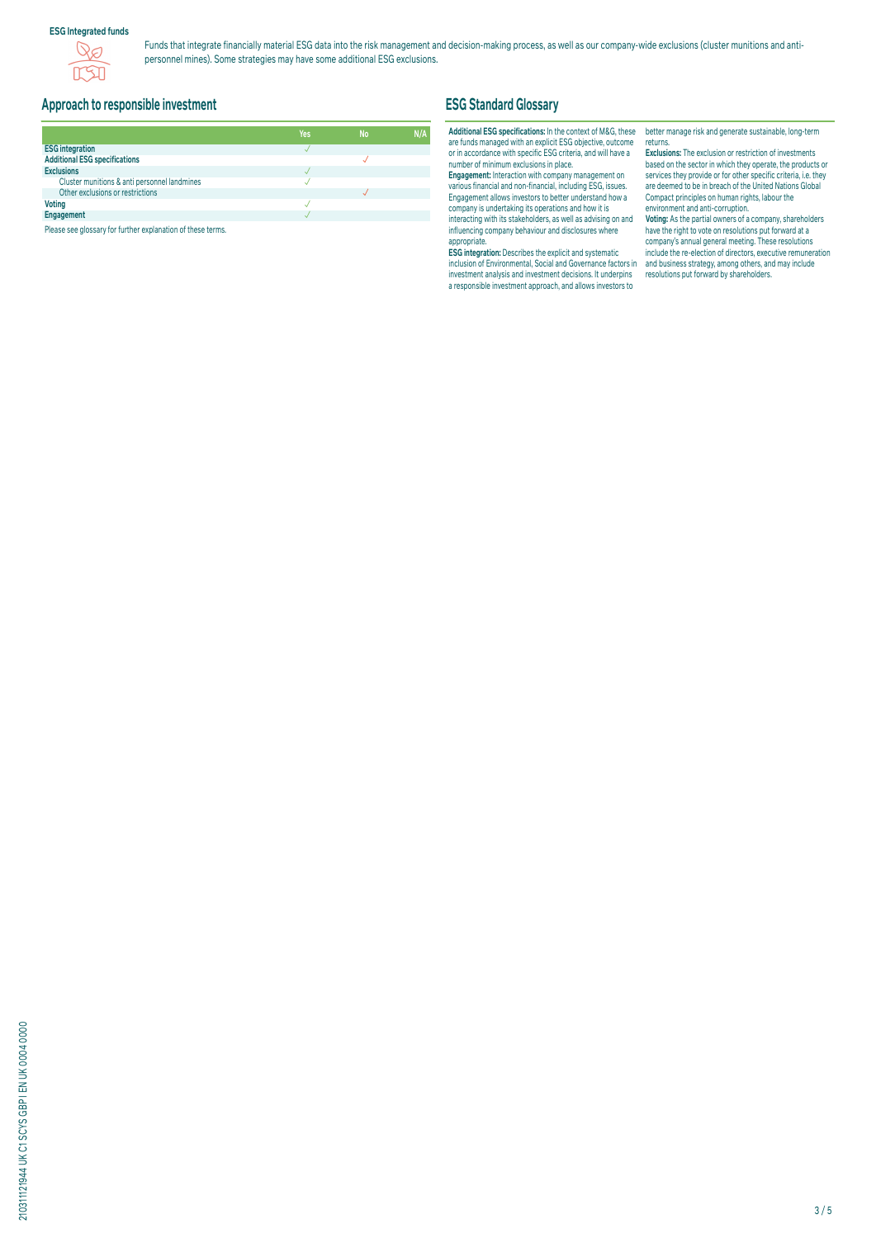## **ESG Integrated funds**



Funds that integrate financially material ESG data into the risk management and decision-making process, as well as our company-wide exclusions (cluster munitions and antipersonnel mines). Some strategies may have some additional ESG exclusions.

# **Approach to responsible investment**

|                                              | Yes | <b>No</b> | N/A |
|----------------------------------------------|-----|-----------|-----|
| <b>ESG integration</b>                       |     |           |     |
| <b>Additional ESG specifications</b>         |     |           |     |
| <b>Exclusions</b>                            |     |           |     |
| Cluster munitions & anti personnel landmines |     |           |     |
| Other exclusions or restrictions             |     |           |     |
| <b>Voting</b>                                |     |           |     |
| Engagement                                   |     |           |     |

Please see glossary for further explanation of these terms.

# **ESG Standard Glossary**

## **Additional ESG specifications:** In the context of M&G, these are funds managed with an explicit ESG objective, outcome or in accordance with specific ESG criteria, and will have a number of minimum exclusions in place.

**Engagement:** Interaction with company management on various financial and non-financial, including ESG, issues. Engagement allows investors to better understand how a company is undertaking its operations and how it is interacting with its stakeholders, as well as advising on and influencing company behaviour and disclosures where appropriate.

**ESG integration:** Describes the explicit and systematic inclusion of Environmental, Social and Governance factors in investment analysis and investment decisions. It underpins a responsible investment approach, and allows investors to

better manage risk and generate sustainable, long-term returns.

**Exclusions:** The exclusion or restriction of investments based on the sector in which they operate, the products or services they provide or for other specific criteria, i.e. they are deemed to be in breach of the United Nations Global Compact principles on human rights, labour the environment and anti-corruption.

**Voting:** As the partial owners of a company, shareholders have the right to vote on resolutions put forward at a company's annual general meeting. These resolutions include the re-election of directors, executive remuneration and business strategy, among others, and may include resolutions put forward by shareholders.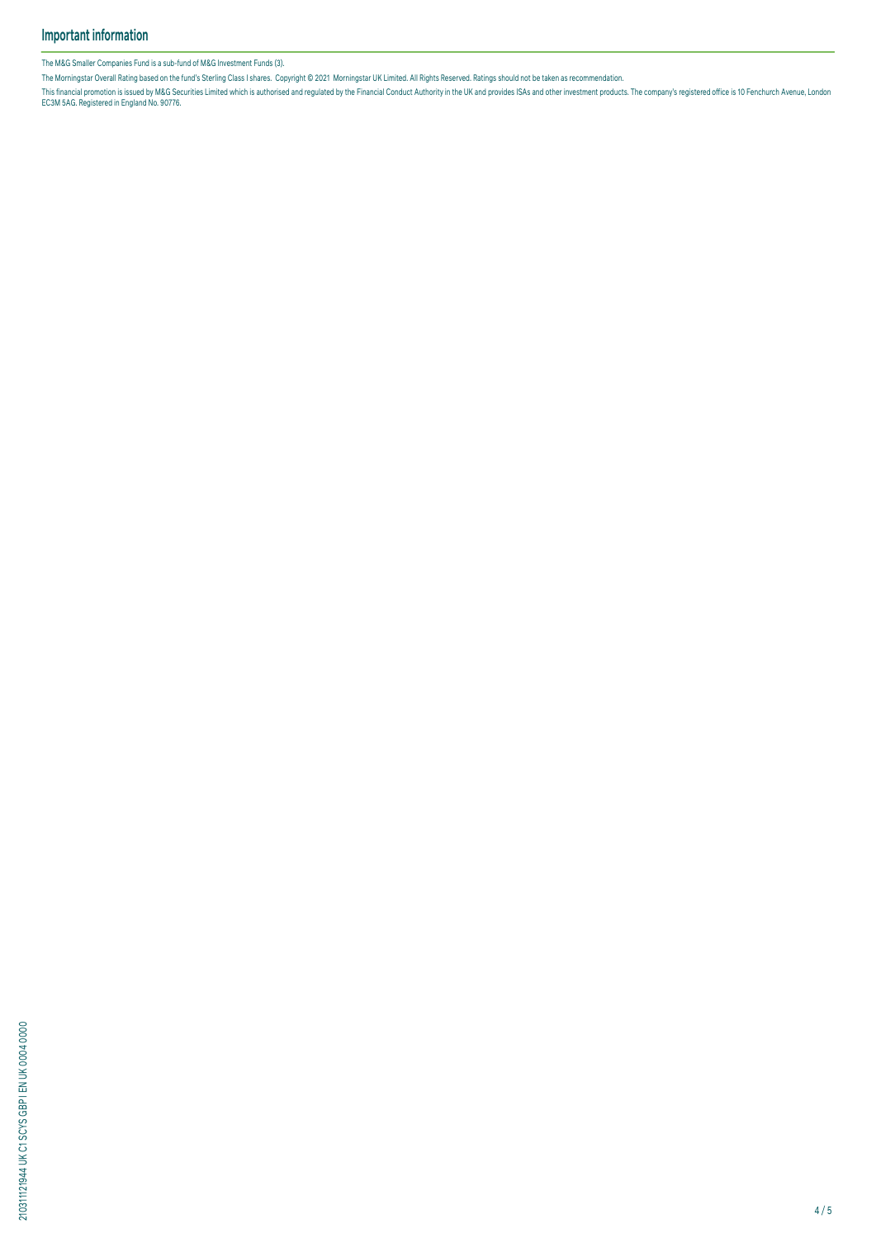The M&G Smaller Companies Fund is a sub-fund of M&G Investment Funds (3).

The Morningstar Overall Rating based on the fund's Sterling Class I shares. Copyright © 2021 Morningstar UK Limited. All Rights Reserved. Ratings should not be taken as recommendation.

This financial promotion is issued by M&G Securities Limited which is authorised and regulated by the Financial Conduct Authority in the UK and provides ISAS and other investment products. The company's registered office i